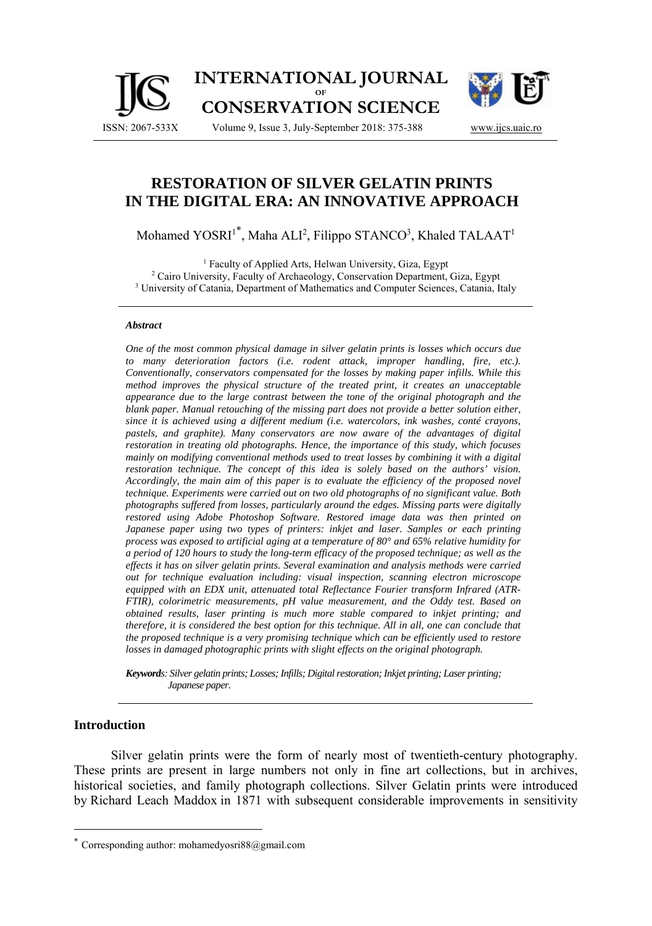

# **RESTORATION OF SILVER GELATIN PRINTS IN THE DIGITAL ERA: AN INNOVATIVE APPROACH**

Mohamed YOSRI<sup>1\*</sup>, Maha ALI<sup>2</sup>, Filippo STANCO<sup>3</sup>, Khaled TALAAT<sup>1</sup>

<sup>1</sup> Faculty of Applied Arts, Helwan University, Giza, Egypt <sup>2</sup> Cairo University, Faculty of Archaeology, Conservation Department, Giza, Egypt <sup>3</sup> University of Catania, Department of Mathematics and Computer Sciences, Catania, Italy

#### *Abstract*

*One of the most common physical damage in silver gelatin prints is losses which occurs due to many deterioration factors (i.e. rodent attack, improper handling, fire, etc.). Conventionally, conservators compensated for the losses by making paper infills. While this method improves the physical structure of the treated print, it creates an unacceptable appearance due to the large contrast between the tone of the original photograph and the blank paper. Manual retouching of the missing part does not provide a better solution either, since it is achieved using a different medium (i.e. watercolors, ink washes, conté crayons, pastels, and graphite). Many conservators are now aware of the advantages of digital restoration in treating old photographs. Hence, the importance of this study, which focuses mainly on modifying conventional methods used to treat losses by combining it with a digital restoration technique. The concept of this idea is solely based on the authors' vision. Accordingly, the main aim of this paper is to evaluate the efficiency of the proposed novel technique. Experiments were carried out on two old photographs of no significant value. Both photographs suffered from losses, particularly around the edges. Missing parts were digitally restored using Adobe Photoshop Software. Restored image data was then printed on Japanese paper using two types of printers: inkjet and laser. Samples or each printing process was exposed to artificial aging at a temperature of 80° and 65% relative humidity for a period of 120 hours to study the long-term efficacy of the proposed technique; as well as the effects it has on silver gelatin prints. Several examination and analysis methods were carried out for technique evaluation including: visual inspection, scanning electron microscope equipped with an EDX unit, attenuated total Reflectance Fourier transform Infrared (ATR-FTIR), colorimetric measurements, pH value measurement, and the Oddy test. Based on obtained results, laser printing is much more stable compared to inkjet printing; and therefore, it is considered the best option for this technique. All in all, one can conclude that the proposed technique is a very promising technique which can be efficiently used to restore losses in damaged photographic prints with slight effects on the original photograph.* 

*Keywords: Silver gelatin prints; Losses; Infills; Digital restoration; Inkjet printing; Laser printing; Japanese paper.* 

#### **Introduction**

 $\overline{a}$ 

Silver gelatin prints were the form of nearly most of twentieth-century photography. These prints are present in large numbers not only in fine art collections, but in archives, historical societies, and family photograph collections. Silver Gelatin prints were introduced by Richard Leach Maddox in 1871 with subsequent considerable improvements in sensitivity

Corresponding author: mohamedyosri88@gmail.com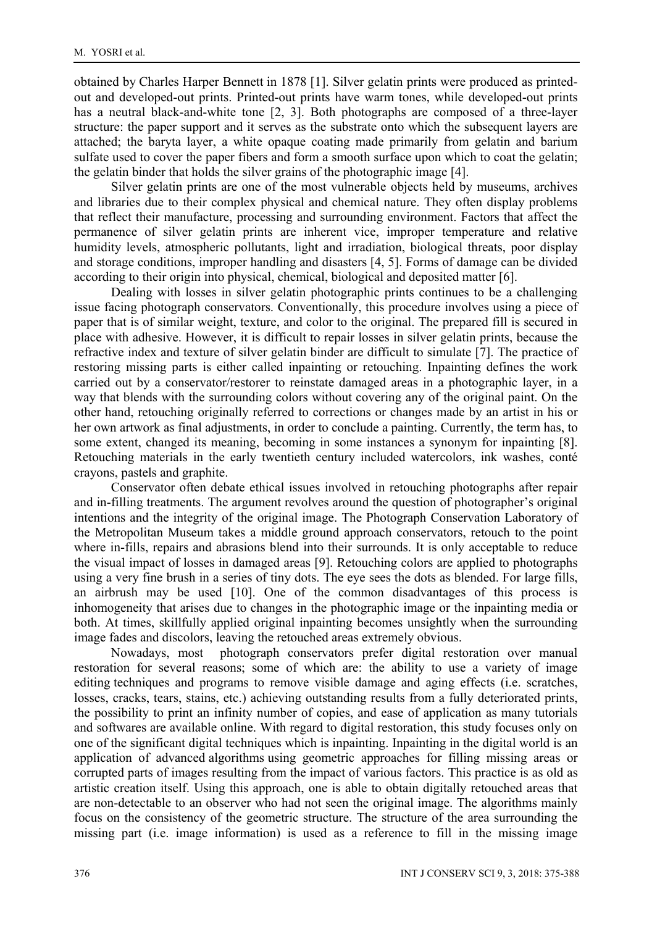obtained by Charles Harper Bennett in 1878 [1]. Silver gelatin prints were produced as printedout and developed-out prints. Printed-out prints have warm tones, while developed-out prints has a neutral black-and-white tone [2, 3]. Both photographs are composed of a three-layer structure: the paper support and it serves as the substrate onto which the subsequent layers are attached; the baryta layer, a white opaque coating made primarily from gelatin and barium sulfate used to cover the paper fibers and form a smooth surface upon which to coat the gelatin; the gelatin binder that holds the silver grains of the photographic image [4].

Silver gelatin prints are one of the most vulnerable objects held by museums, archives and libraries due to their complex physical and chemical nature. They often display problems that reflect their manufacture, processing and surrounding environment. Factors that affect the permanence of silver gelatin prints are inherent vice, improper temperature and relative humidity levels, atmospheric pollutants, light and irradiation, biological threats, poor display and storage conditions, improper handling and disasters [4, 5]. Forms of damage can be divided according to their origin into physical, chemical, biological and deposited matter [6].

Dealing with losses in silver gelatin photographic prints continues to be a challenging issue facing photograph conservators. Conventionally, this procedure involves using a piece of paper that is of similar weight, texture, and color to the original. The prepared fill is secured in place with adhesive. However, it is difficult to repair losses in silver gelatin prints, because the refractive index and texture of silver gelatin binder are difficult to simulate [7]. The practice of restoring missing parts is either called inpainting or retouching. Inpainting defines the work carried out by a conservator/restorer to reinstate damaged areas in a photographic layer, in a way that blends with the surrounding colors without covering any of the original paint. On the other hand, retouching originally referred to corrections or changes made by an artist in his or her own artwork as final adjustments, in order to conclude a painting. Currently, the term has, to some extent, changed its meaning, becoming in some instances a synonym for inpainting [8]. Retouching materials in the early twentieth century included watercolors, ink washes, conté crayons, pastels and graphite.

Conservator often debate ethical issues involved in retouching photographs after repair and in-filling treatments. The argument revolves around the question of photographer's original intentions and the integrity of the original image. The Photograph Conservation Laboratory of the Metropolitan Museum takes a middle ground approach conservators, retouch to the point where in-fills, repairs and abrasions blend into their surrounds. It is only acceptable to reduce the visual impact of losses in damaged areas [9]. Retouching colors are applied to photographs using a very fine brush in a series of tiny dots. The eye sees the dots as blended. For large fills, an airbrush may be used [10]. One of the common disadvantages of this process is inhomogeneity that arises due to changes in the photographic image or the inpainting media or both. At times, skillfully applied original inpainting becomes unsightly when the surrounding image fades and discolors, leaving the retouched areas extremely obvious.

Nowadays, most photograph conservators prefer digital restoration over manual restoration for several reasons; some of which are: the ability to use a variety of image editing techniques and programs to remove visible damage and aging effects (i.e. scratches, losses, cracks, tears, stains, etc.) achieving outstanding results from a fully deteriorated prints, the possibility to print an infinity number of copies, and ease of application as many tutorials and softwares are available online. With regard to digital restoration, this study focuses only on one of the significant digital techniques which is inpainting. Inpainting in the digital world is an application of advanced algorithms using geometric approaches for filling missing areas or corrupted parts of images resulting from the impact of various factors. This practice is as old as artistic creation itself. Using this approach, one is able to obtain digitally retouched areas that are non-detectable to an observer who had not seen the original image. The algorithms mainly focus on the consistency of the geometric structure. The structure of the area surrounding the missing part (i.e. image information) is used as a reference to fill in the missing image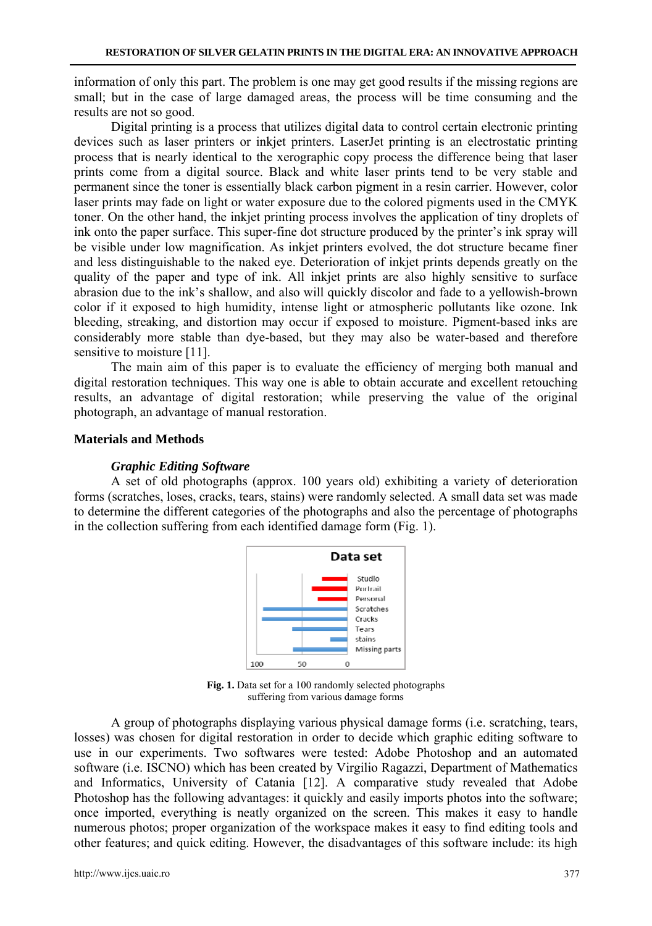information of only this part. The problem is one may get good results if the missing regions are small; but in the case of large damaged areas, the process will be time consuming and the results are not so good.

Digital printing is a process that utilizes digital data to control certain electronic printing devices such as laser printers or inkjet printers. LaserJet printing is an electrostatic printing process that is nearly identical to the xerographic copy process the difference being that laser prints come from a digital source. Black and white laser prints tend to be very stable and permanent since the toner is essentially black carbon pigment in a resin carrier. However, color laser prints may fade on light or water exposure due to the colored pigments used in the CMYK toner. On the other hand, the inkjet printing process involves the application of tiny droplets of ink onto the paper surface. This super-fine dot structure produced by the printer's ink spray will be visible under low magnification. As inkjet printers evolved, the dot structure became finer and less distinguishable to the naked eye. Deterioration of inkjet prints depends greatly on the quality of the paper and type of ink. All inkjet prints are also highly sensitive to surface abrasion due to the ink's shallow, and also will quickly discolor and fade to a yellowish-brown color if it exposed to high humidity, intense light or atmospheric pollutants like ozone. Ink bleeding, streaking, and distortion may occur if exposed to moisture. Pigment-based inks are considerably more stable than dye-based, but they may also be water-based and therefore sensitive to moisture [11].

The main aim of this paper is to evaluate the efficiency of merging both manual and digital restoration techniques. This way one is able to obtain accurate and excellent retouching results, an advantage of digital restoration; while preserving the value of the original photograph, an advantage of manual restoration.

### **Materials and Methods**

#### *Graphic Editing Software*

A set of old photographs (approx. 100 years old) exhibiting a variety of deterioration forms (scratches, loses, cracks, tears, stains) were randomly selected. A small data set was made to determine the different categories of the photographs and also the percentage of photographs in the collection suffering from each identified damage form (Fig. 1).



**Fig. 1.** Data set for a 100 randomly selected photographs suffering from various damage forms

A group of photographs displaying various physical damage forms (i.e. scratching, tears, losses) was chosen for digital restoration in order to decide which graphic editing software to use in our experiments. Two softwares were tested: Adobe Photoshop and an automated software (i.e. ISCNO) which has been created by Virgilio Ragazzi, Department of Mathematics and Informatics, University of Catania [12]. A comparative study revealed that Adobe Photoshop has the following advantages: it quickly and easily imports photos into the software; once imported, everything is neatly organized on the screen. This makes it easy to handle numerous photos; proper organization of the workspace makes it easy to find editing tools and other features; and quick editing. However, the disadvantages of this software include: its high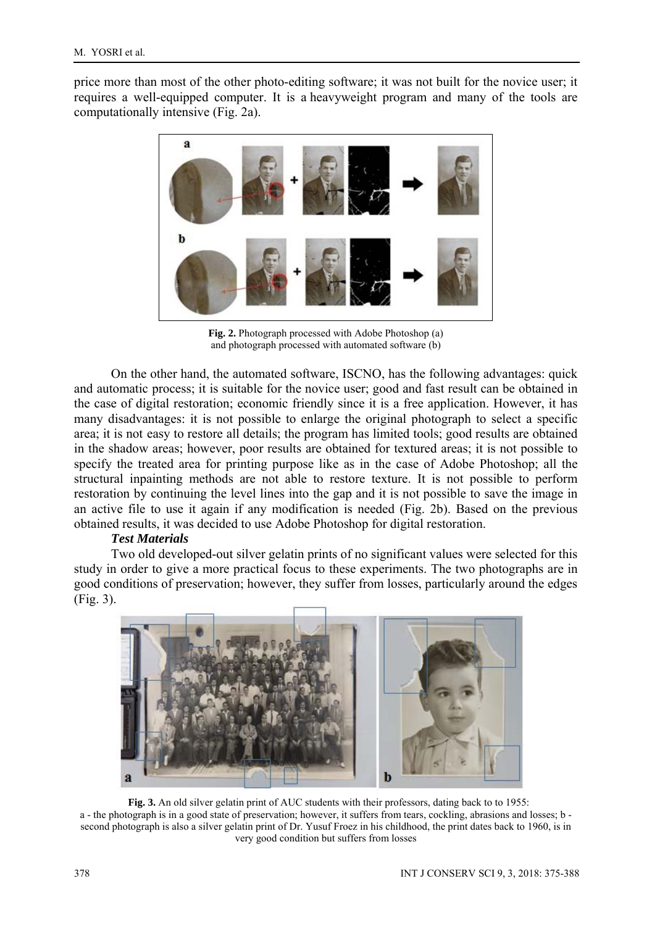price more than most of the other photo-editing software; it was not built for the novice user; it requires a well-equipped computer. It is a heavyweight program and many of the tools are computationally intensive (Fig. 2a).



**Fig. 2.** Photograph processed with Adobe Photoshop (a) and photograph processed with automated software (b)

On the other hand, the automated software, ISCNO, has the following advantages: quick and automatic process; it is suitable for the novice user; good and fast result can be obtained in the case of digital restoration; economic friendly since it is a free application. However, it has many disadvantages: it is not possible to enlarge the original photograph to select a specific area; it is not easy to restore all details; the program has limited tools; good results are obtained in the shadow areas; however, poor results are obtained for textured areas; it is not possible to specify the treated area for printing purpose like as in the case of Adobe Photoshop; all the structural inpainting methods are not able to restore texture. It is not possible to perform restoration by continuing the level lines into the gap and it is not possible to save the image in an active file to use it again if any modification is needed (Fig. 2b). Based on the previous obtained results, it was decided to use Adobe Photoshop for digital restoration.

## *Test Materials*

Two old developed-out silver gelatin prints of no significant values were selected for this study in order to give a more practical focus to these experiments. The two photographs are in good conditions of preservation; however, they suffer from losses, particularly around the edges (Fig. 3).



**Fig. 3.** An old silver gelatin print of AUC students with their professors, dating back to to 1955: a - the photograph is in a good state of preservation; however, it suffers from tears, cockling, abrasions and losses; b second photograph is also a silver gelatin print of Dr. Yusuf Froez in his childhood, the print dates back to 1960, is in very good condition but suffers from losses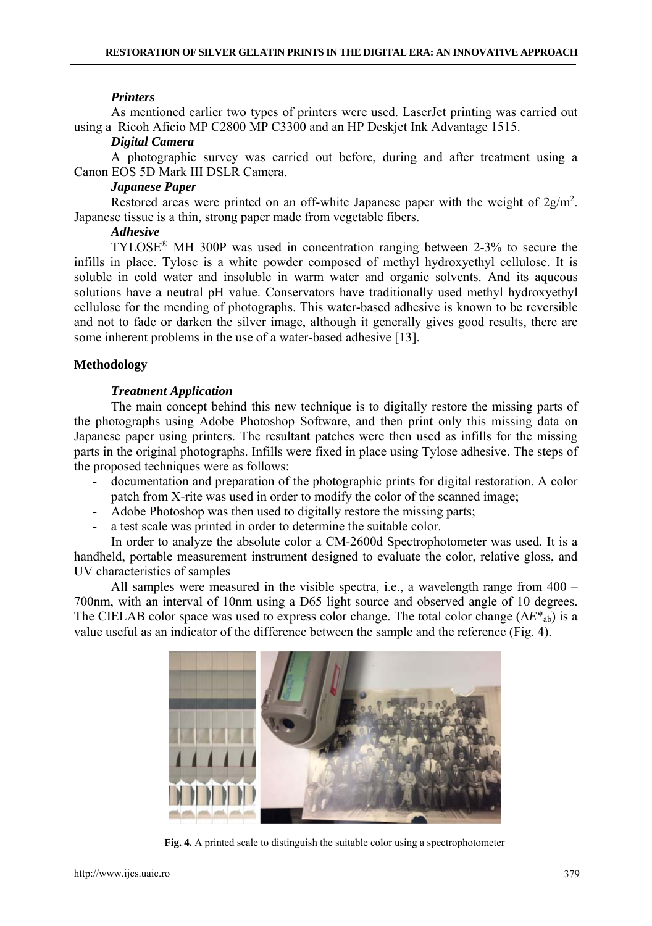#### *Printers*

As mentioned earlier two types of printers were used. LaserJet printing was carried out using a Ricoh Aficio MP C2800 MP C3300 and an HP Deskjet Ink Advantage 1515.

#### *Digital Camera*

A photographic survey was carried out before, during and after treatment using a Canon EOS 5D Mark III DSLR Camera.

#### *Japanese Paper*

Restored areas were printed on an off-white Japanese paper with the weight of  $2g/m^2$ . Japanese tissue is a thin, strong paper made from vegetable fibers.

# *Adhesive*

TYLOSE® MH 300P was used in concentration ranging between 2-3% to secure the infills in place. Tylose is a white powder composed of methyl hydroxyethyl cellulose. It is soluble in cold water and insoluble in warm water and organic solvents. And its aqueous solutions have a neutral pH value. Conservators have traditionally used methyl hydroxyethyl cellulose for the mending of photographs. This water-based adhesive is known to be reversible and not to fade or darken the silver image, although it generally gives good results, there are some inherent problems in the use of a water-based adhesive [13].

### **Methodology**

### *Treatment Application*

The main concept behind this new technique is to digitally restore the missing parts of the photographs using Adobe Photoshop Software, and then print only this missing data on Japanese paper using printers. The resultant patches were then used as infills for the missing parts in the original photographs. Infills were fixed in place using Tylose adhesive. The steps of the proposed techniques were as follows:

- documentation and preparation of the photographic prints for digital restoration. A color patch from X-rite was used in order to modify the color of the scanned image;
- Adobe Photoshop was then used to digitally restore the missing parts;
- a test scale was printed in order to determine the suitable color.

In order to analyze the absolute color a CM-2600d Spectrophotometer was used. It is a handheld, portable measurement instrument designed to evaluate the color, relative gloss, and UV characteristics of samples

All samples were measured in the visible spectra, i.e., a wavelength range from 400 – 700nm, with an interval of 10nm using a D65 light source and observed angle of 10 degrees. The CIELAB color space was used to express color change. The total color change ( $\Delta E^*$ <sub>ab</sub>) is a value useful as an indicator of the difference between the sample and the reference (Fig. 4).



**Fig. 4.** A printed scale to distinguish the suitable color using a spectrophotometer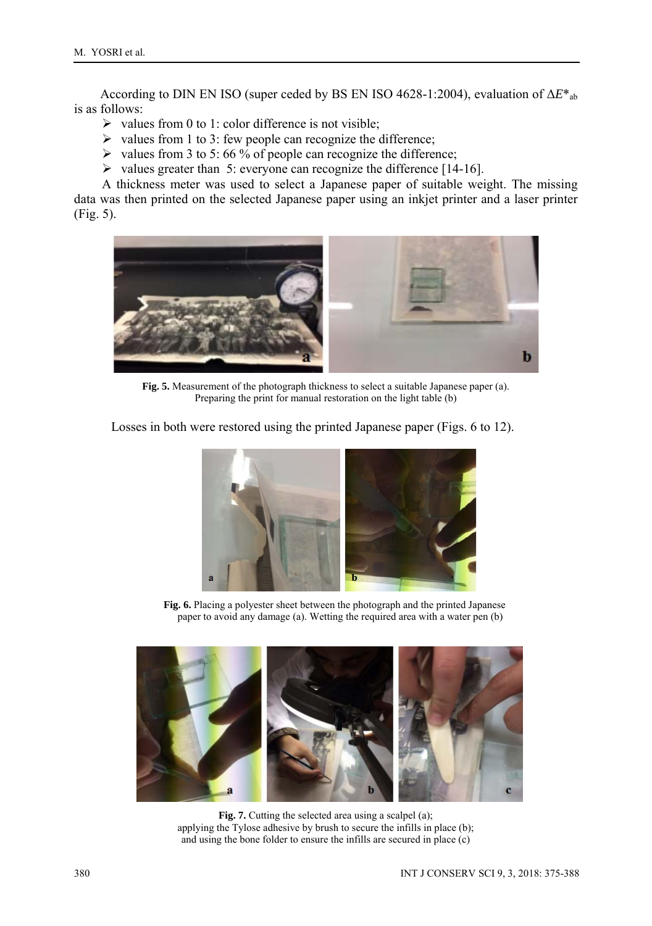According to DIN EN ISO (super ceded by BS EN ISO 4628-1:2004), evaluation of Δ*E*\*ab is as follows:

- $\triangleright$  values from 0 to 1: color difference is not visible;
- $\triangleright$  values from 1 to 3: few people can recognize the difference;
- $\triangleright$  values from 3 to 5: 66 % of people can recognize the difference;
- $\triangleright$  values greater than 5: everyone can recognize the difference [14-16].

A thickness meter was used to select a Japanese paper of suitable weight. The missing data was then printed on the selected Japanese paper using an inkjet printer and a laser printer (Fig. 5).



**Fig. 5.** Measurement of the photograph thickness to select a suitable Japanese paper (a). Preparing the print for manual restoration on the light table (b)

Losses in both were restored using the printed Japanese paper (Figs. 6 to 12).



 **Fig. 6.** Placing a polyester sheet between the photograph and the printed Japanese paper to avoid any damage (a). Wetting the required area with a water pen (b)



**Fig. 7.** Cutting the selected area using a scalpel (a); applying the Tylose adhesive by brush to secure the infills in place (b); and using the bone folder to ensure the infills are secured in place (c)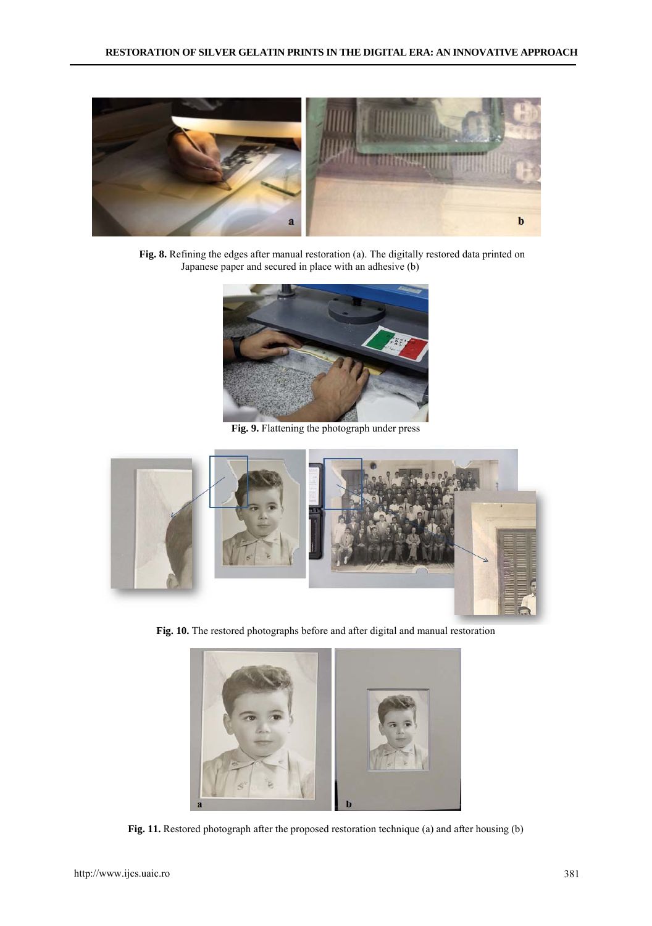

 **Fig. 8.** Refining the edges after manual restoration (a). The digitally restored data printed on Japanese paper and secured in place with an adhesive (b)



**Fig. 9.** Flattening the photograph under press



**Fig. 10.** The restored photographs before and after digital and manual restoration



**Fig. 11.** Restored photograph after the proposed restoration technique (a) and after housing (b)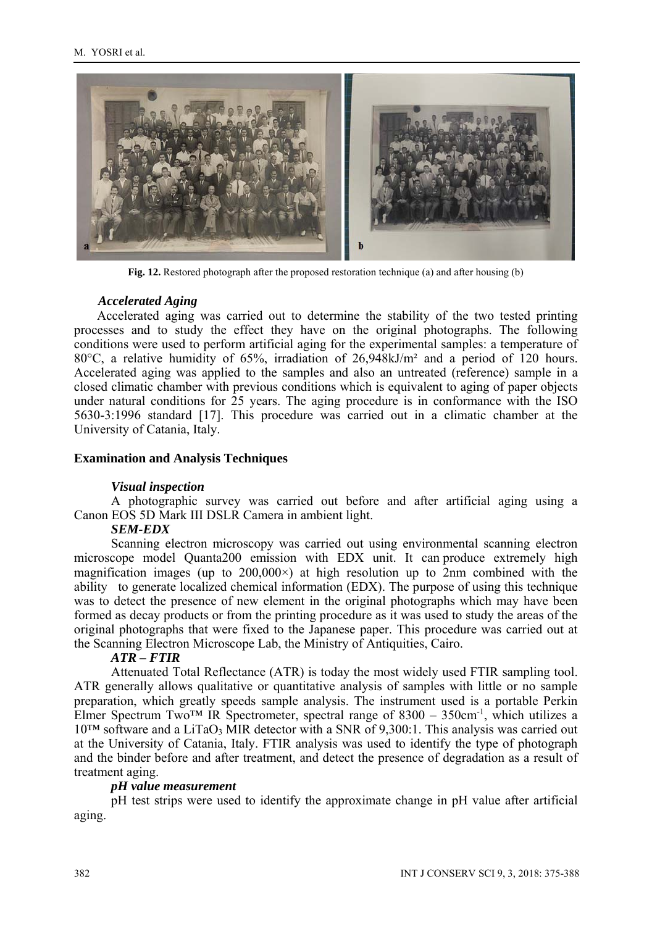

**Fig. 12.** Restored photograph after the proposed restoration technique (a) and after housing (b)

## *Accelerated Aging*

 Accelerated aging was carried out to determine the stability of the two tested printing processes and to study the effect they have on the original photographs. The following conditions were used to perform artificial aging for the experimental samples: a temperature of 80 $^{\circ}$ C, a relative humidity of 65%, irradiation of 26,948kJ/m<sup>2</sup> and a period of 120 hours. Accelerated aging was applied to the samples and also an untreated (reference) sample in a closed climatic chamber with previous conditions which is equivalent to aging of paper objects under natural conditions for 25 years. The aging procedure is in conformance with the ISO 5630-3:1996 standard [17]. This procedure was carried out in a climatic chamber at the University of Catania, Italy.

### **Examination and Analysis Techniques**

#### *Visual inspection*

A photographic survey was carried out before and after artificial aging using a Canon EOS 5D Mark III DSLR Camera in ambient light.

#### *SEM-EDX*

Scanning electron microscopy was carried out using environmental scanning electron microscope model Quanta200 emission with EDX unit. It can produce extremely high magnification images (up to  $200,000\times$ ) at high resolution up to 2nm combined with the ability to generate localized chemical information (EDX). The purpose of using this technique was to detect the presence of new element in the original photographs which may have been formed as decay products or from the printing procedure as it was used to study the areas of the original photographs that were fixed to the Japanese paper. This procedure was carried out at the Scanning Electron Microscope Lab, the Ministry of Antiquities, Cairo.

#### *ATR – FTIR*

Attenuated Total Reflectance (ATR) is today the most widely used FTIR sampling tool. ATR generally allows qualitative or quantitative analysis of samples with little or no sample preparation, which greatly speeds sample analysis. The instrument used is a portable Perkin Elmer Spectrum Two<sup>™</sup> IR Spectrometer, spectral range of 8300 – 350cm<sup>-1</sup>, which utilizes a  $10^{TM}$  software and a LiTaO<sub>3</sub> MIR detector with a SNR of 9,300:1. This analysis was carried out at the University of Catania, Italy. FTIR analysis was used to identify the type of photograph and the binder before and after treatment, and detect the presence of degradation as a result of treatment aging.

#### *pH value measurement*

pH test strips were used to identify the approximate change in pH value after artificial aging.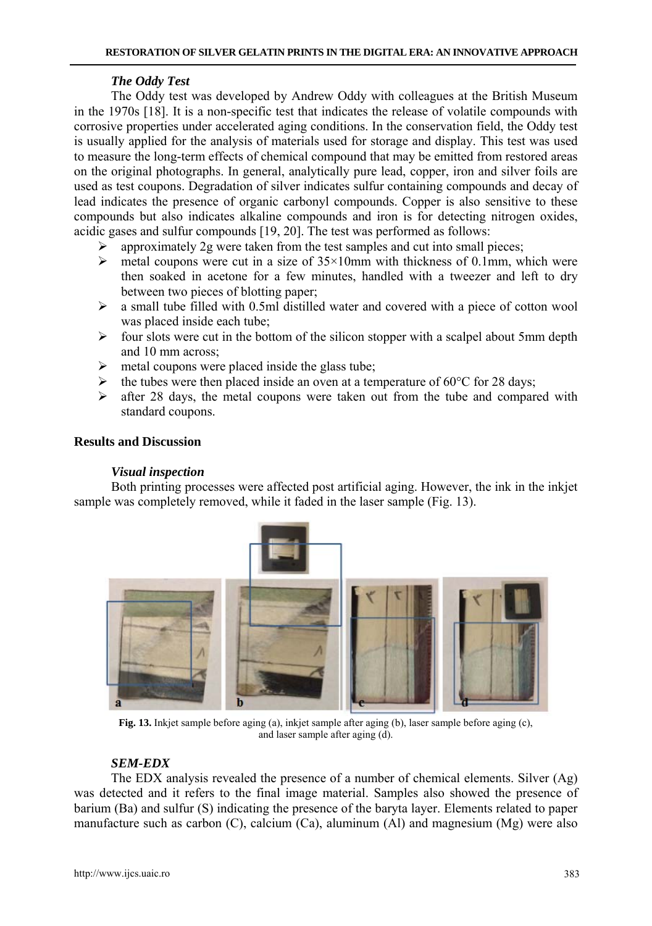## *The Oddy Test*

The Oddy test was developed by Andrew Oddy with colleagues at the British Museum in the 1970s [18]. It is a non-specific test that indicates the release of volatile compounds with corrosive properties under accelerated aging conditions. In the conservation field, the Oddy test is usually applied for the analysis of materials used for storage and display. This test was used to measure the long-term effects of chemical compound that may be emitted from restored areas on the original photographs. In general, analytically pure lead, copper, iron and silver foils are used as test coupons. Degradation of silver indicates sulfur containing compounds and decay of lead indicates the presence of organic carbonyl compounds. Copper is also sensitive to these compounds but also indicates alkaline compounds and iron is for detecting nitrogen oxides, acidic gases and sulfur compounds [19, 20]. The test was performed as follows:

- approximately 2g were taken from the test samples and cut into small pieces;
- $\geq$  metal coupons were cut in a size of 35×10mm with thickness of 0.1mm, which were then soaked in acetone for a few minutes, handled with a tweezer and left to dry between two pieces of blotting paper;
- $\triangleright$  a small tube filled with 0.5ml distilled water and covered with a piece of cotton wool was placed inside each tube;
- $\triangleright$  four slots were cut in the bottom of the silicon stopper with a scalpel about 5mm depth and 10 mm across;
- $\triangleright$  metal coupons were placed inside the glass tube;
- $\triangleright$  the tubes were then placed inside an oven at a temperature of 60 $\degree$ C for 28 days;
- $\triangleright$  after 28 days, the metal coupons were taken out from the tube and compared with standard coupons.

### **Results and Discussion**

## *Visual inspection*

Both printing processes were affected post artificial aging. However, the ink in the inkjet sample was completely removed, while it faded in the laser sample (Fig. 13).



**Fig. 13.** Inkjet sample before aging (a), inkjet sample after aging (b), laser sample before aging (c), and laser sample after aging (d).

## *SEM-EDX*

The EDX analysis revealed the presence of a number of chemical elements. Silver (Ag) was detected and it refers to the final image material. Samples also showed the presence of barium (Ba) and sulfur (S) indicating the presence of the baryta layer. Elements related to paper manufacture such as carbon  $(C)$ , calcium  $(Ca)$ , aluminum  $(A)$  and magnesium  $(Mg)$  were also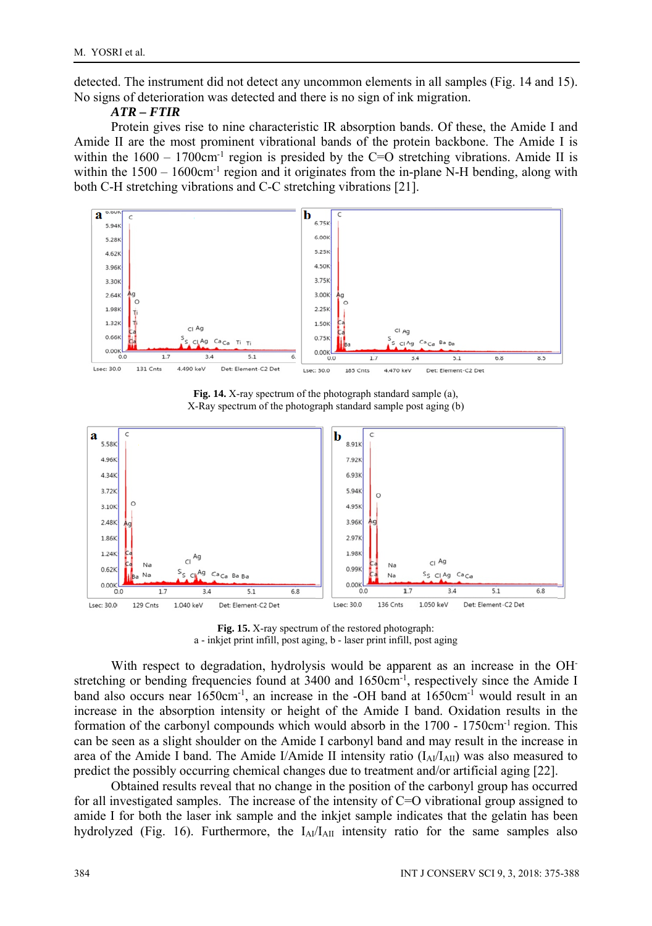detected. The instrument did not detect any uncommon elements in all samples (Fig. 14 and 15). No signs of deterioration was detected and there is no sign of ink migration.

### *ATR – FTIR*

Protein gives rise to nine characteristic IR absorption bands. Of these, the Amide I and Amide II are the most prominent vibrational bands of the protein backbone. The Amide I is within the  $1600 - 1700 \text{cm}^{-1}$  region is presided by the C=O stretching vibrations. Amide II is within the  $1500 - 1600 \text{cm}^{-1}$  region and it originates from the in-plane N-H bending, along with both C-H stretching vibrations and C-C stretching vibrations [21].



**Fig. 14.** X-ray spectrum of the photograph standard sample (a), X-Ray spectrum of the photograph standard sample post aging (b)



**Fig. 15.** X-ray spectrum of the restored photograph: a - inkjet print infill, post aging, b - laser print infill, post aging

With respect to degradation, hydrolysis would be apparent as an increase in the OHstretching or bending frequencies found at 3400 and 1650cm<sup>-1</sup>, respectively since the Amide I band also occurs near 1650cm-1, an increase in the -OH band at 1650cm-1 would result in an increase in the absorption intensity or height of the Amide I band. Oxidation results in the formation of the carbonyl compounds which would absorb in the 1700 - 1750cm-1 region. This can be seen as a slight shoulder on the Amide I carbonyl band and may result in the increase in area of the Amide I band. The Amide I/Amide II intensity ratio  $(I<sub>A</sub>/I<sub>AII</sub>)$  was also measured to predict the possibly occurring chemical changes due to treatment and/or artificial aging [22].

Obtained results reveal that no change in the position of the carbonyl group has occurred for all investigated samples. The increase of the intensity of C=O vibrational group assigned to amide I for both the laser ink sample and the inkjet sample indicates that the gelatin has been hydrolyzed (Fig. 16). Furthermore, the  $I_{Al}/I_{Al}$  intensity ratio for the same samples also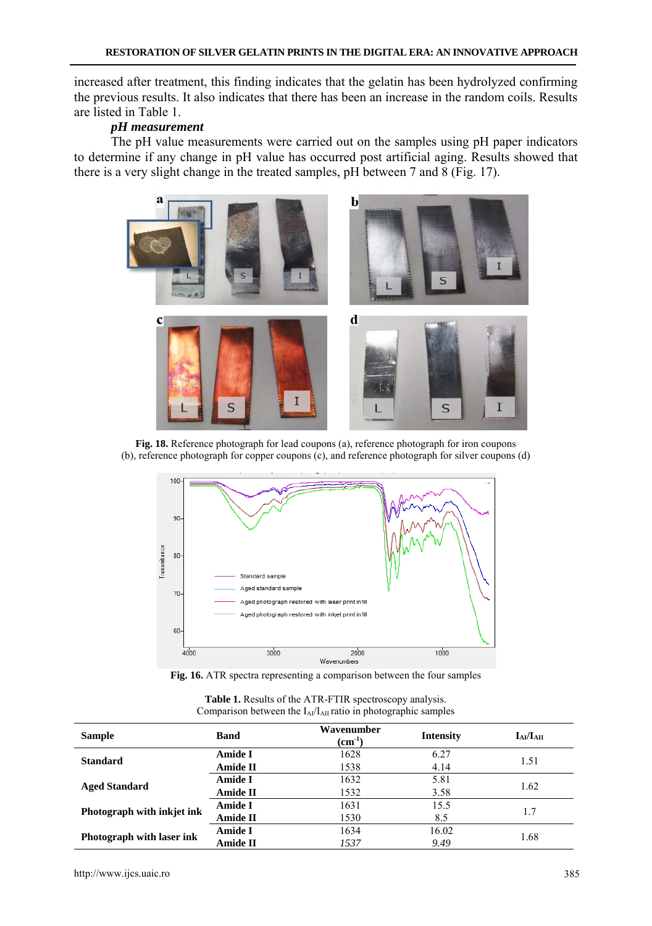increased after treatment, this finding indicates that the gelatin has been hydrolyzed confirming the previous results. It also indicates that there has been an increase in the random coils. Results are listed in Table 1.

# *pH measurement*

The pH value measurements were carried out on the samples using pH paper indicators to determine if any change in pH value has occurred post artificial aging. Results showed that there is a very slight change in the treated samples, pH between 7 and 8 (Fig. 17).



**Fig. 18.** Reference photograph for lead coupons (a), reference photograph for iron coupons (b), reference photograph for copper coupons (c), and reference photograph for silver coupons (d)



**Fig. 16.** ATR spectra representing a comparison between the four samples

| Comparison between the $I_{Al}/I_{Al}$ ratio in photographic samples |                 |                           |                  |                 |  |  |
|----------------------------------------------------------------------|-----------------|---------------------------|------------------|-----------------|--|--|
| <b>Sample</b>                                                        | <b>Band</b>     | Wavenumber<br>$(cm^{-1})$ | <b>Intensity</b> | $I_{AI}/I_{AI}$ |  |  |
|                                                                      | Amide I         | 1628                      | 6.27             |                 |  |  |
| <b>Standard</b>                                                      | Amide II        | 1538                      | 4.14             | 1.51            |  |  |
|                                                                      | Amide I         | 1632                      | 5.81             |                 |  |  |
| <b>Aged Standard</b>                                                 | <b>Amide II</b> | 1532                      | 3.58             | 1.62            |  |  |
|                                                                      | Amide I         | 1631                      | 15.5             |                 |  |  |
| Photograph with inkjet ink                                           | <b>Amide II</b> | 1530                      | 8.5              |                 |  |  |

**Photograph with laser ink Amide I** 1634 16.02 1.68

| <b>Table 1.</b> Results of the ATR-FTIR spectroscopy analysis.       |
|----------------------------------------------------------------------|
| Comparison between the $I_{Al}/I_{Al}$ ratio in photographic samples |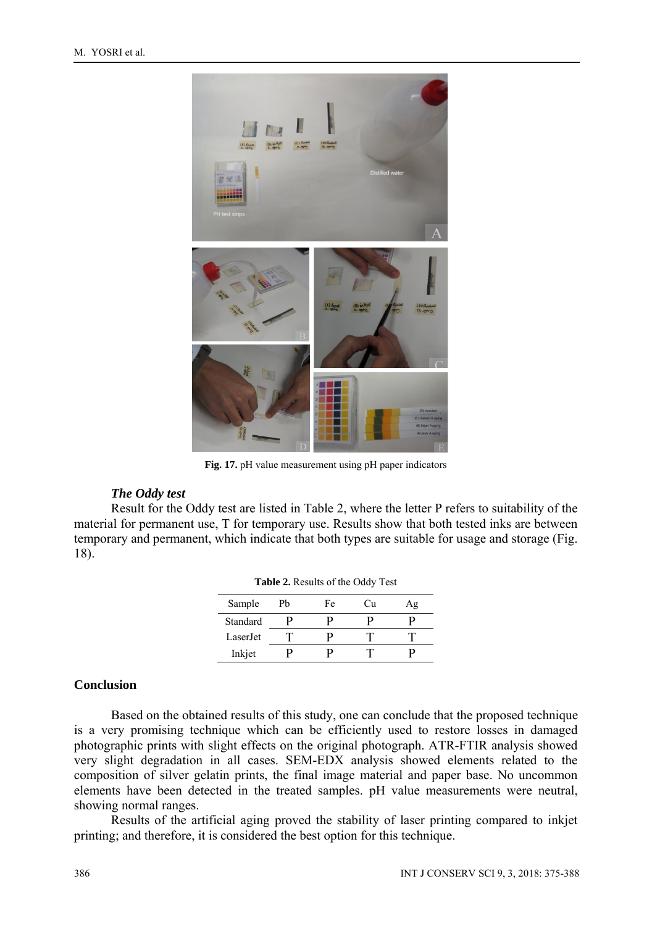

**Fig. 17.** pH value measurement using pH paper indicators

#### *The Oddy test*

Result for the Oddy test are listed in Table 2, where the letter P refers to suitability of the material for permanent use, T for temporary use. Results show that both tested inks are between temporary and permanent, which indicate that both types are suitable for usage and storage (Fig. 18).

**Table 2.** Results of the Oddy Test

| <b>Table 2.</b> Nesults 01 the Outly Test |    |    |    |    |  |  |
|-------------------------------------------|----|----|----|----|--|--|
| Sample                                    | Pb | Fe | Сu | Αg |  |  |
| Standard                                  |    |    |    |    |  |  |
| Laser.Jet                                 |    |    |    |    |  |  |
| Inkjet                                    |    |    |    |    |  |  |

#### **Conclusion**

Based on the obtained results of this study, one can conclude that the proposed technique is a very promising technique which can be efficiently used to restore losses in damaged photographic prints with slight effects on the original photograph. ATR-FTIR analysis showed very slight degradation in all cases. SEM-EDX analysis showed elements related to the composition of silver gelatin prints, the final image material and paper base. No uncommon elements have been detected in the treated samples. pH value measurements were neutral, showing normal ranges.

Results of the artificial aging proved the stability of laser printing compared to inkjet printing; and therefore, it is considered the best option for this technique.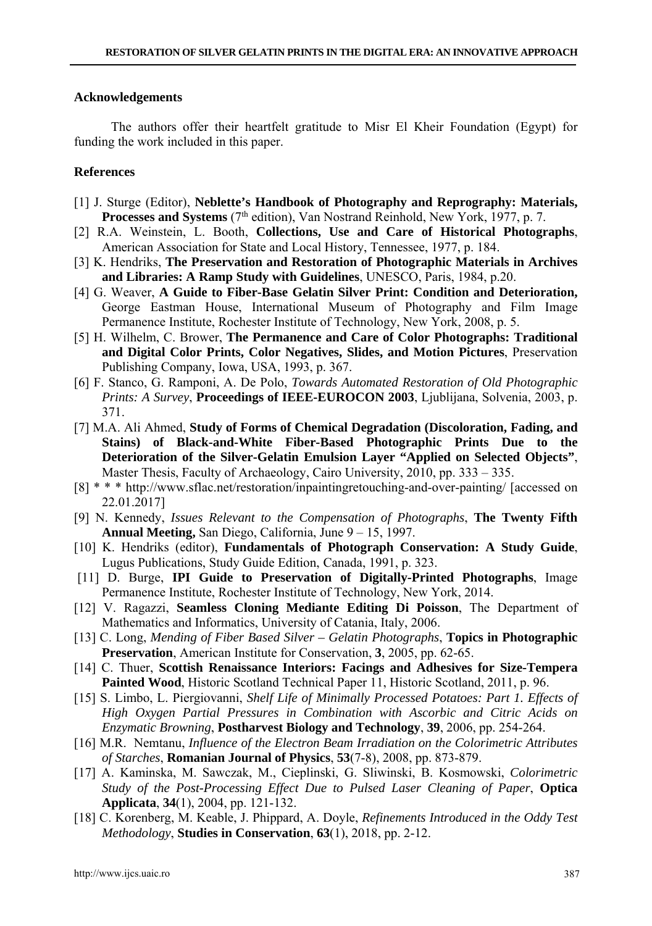#### **Acknowledgements**

The authors offer their heartfelt gratitude to Misr El Kheir Foundation (Egypt) for funding the work included in this paper.

#### **References**

- [1] J. Sturge (Editor), **Neblette's Handbook of Photography and Reprography: Materials, Processes and Systems** (7<sup>th</sup> edition), Van Nostrand Reinhold, New York, 1977, p. 7.
- [2] R.A. Weinstein, L. Booth, **Collections, Use and Care of Historical Photographs**, American Association for State and Local History, Tennessee, 1977, p. 184.
- [3] K. Hendriks, **The Preservation and Restoration of Photographic Materials in Archives and Libraries: A Ramp Study with Guidelines**, UNESCO, Paris, 1984, p.20.
- [4] G. Weaver, **A Guide to Fiber-Base Gelatin Silver Print: Condition and Deterioration,** George Eastman House, International Museum of Photography and Film Image Permanence Institute, Rochester Institute of Technology, New York, 2008, p. 5.
- [5] H. Wilhelm, C. Brower, **The Permanence and Care of Color Photographs: Traditional and Digital Color Prints, Color Negatives, Slides, and Motion Pictures**, Preservation Publishing Company, Iowa, USA, 1993, p. 367.
- [6] F. Stanco, G. Ramponi, A. De Polo, *Towards Automated Restoration of Old Photographic Prints: A Survey*, **Proceedings of IEEE-EUROCON 2003**, Ljublijana, Solvenia, 2003, p. 371.
- [7] M.A. Ali Ahmed, **Study of Forms of Chemical Degradation (Discoloration, Fading, and Stains) of Black-and-White Fiber-Based Photographic Prints Due to the Deterioration of the Silver-Gelatin Emulsion Layer "Applied on Selected Objects"**, Master Thesis, Faculty of Archaeology, Cairo University, 2010, pp. 333 – 335.
- [8] \* \* \* http://www.sflac.net/restoration/inpaintingretouching-and-over-painting/ [accessed on 22.01.2017]
- [9] N. Kennedy, *Issues Relevant to the Compensation of Photographs*, **The Twenty Fifth Annual Meeting,** San Diego, California, June 9 – 15, 1997.
- [10] K. Hendriks (editor), **Fundamentals of Photograph Conservation: A Study Guide**, Lugus Publications, Study Guide Edition, Canada, 1991, p. 323.
- [11] D. Burge, **IPI Guide to Preservation of Digitally-Printed Photographs**, Image Permanence Institute, Rochester Institute of Technology, New York, 2014.
- [12] V. Ragazzi, **Seamless Cloning Mediante Editing Di Poisson**, The Department of Mathematics and Informatics, University of Catania, Italy, 2006.
- [13] C. Long, *Mending of Fiber Based Silver Gelatin Photographs*, **Topics in Photographic Preservation**, American Institute for Conservation, **3**, 2005, pp. 62-65.
- [14] C. Thuer, **Scottish Renaissance Interiors: Facings and Adhesives for Size-Tempera Painted Wood**, Historic Scotland Technical Paper 11, Historic Scotland, 2011, p. 96.
- [15] S. Limbo, L. Piergiovanni, *Shelf Life of Minimally Processed Potatoes: Part 1. Effects of High Oxygen Partial Pressures in Combination with Ascorbic and Citric Acids on Enzymatic Browning*, **Postharvest Biology and Technology**, **39**, 2006, pp. 254-264.
- [16] M.R. Nemtanu, *Influence of the Electron Beam Irradiation on the Colorimetric Attributes of Starches*, **Romanian Journal of Physics**, **53**(7-8), 2008, pp. 873-879.
- [17] A. Kaminska, M. Sawczak, M., Cieplinski, G. Sliwinski, B. Kosmowski, *Colorimetric Study of the Post-Processing Effect Due to Pulsed Laser Cleaning of Paper*, **Optica Applicata**, **34**(1), 2004, pp. 121-132.
- [18] C. Korenberg, M. Keable, J. Phippard, A. Doyle, *Refinements Introduced in the Oddy Test Methodology*, **Studies in Conservation**, **63**(1), 2018, pp. 2-12.